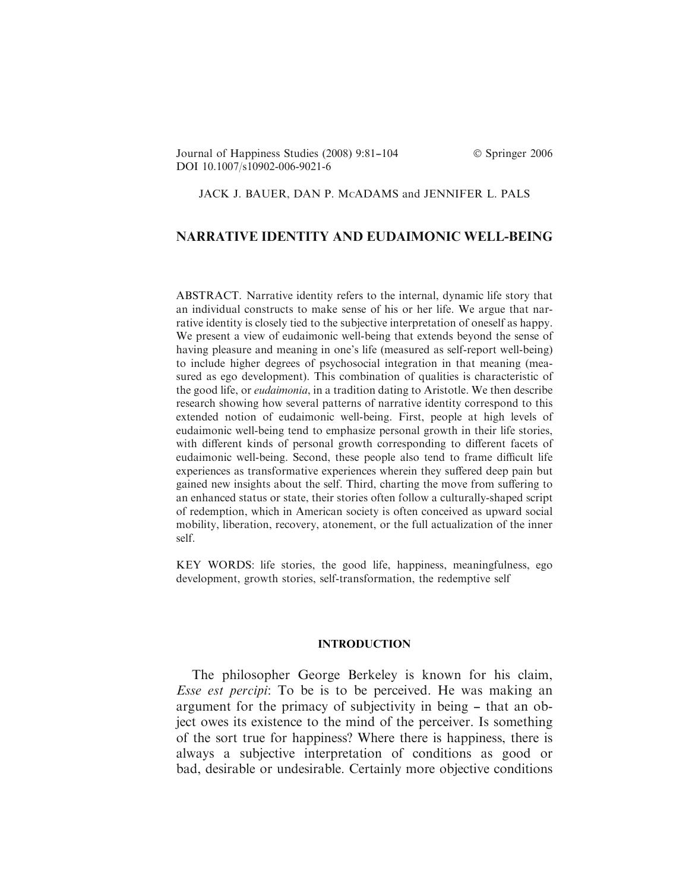Journal of Happiness Studies (2008) 9:81--104 ! Springer 2006 DOI 10.1007/s10902-006-9021-6

#### JACK J. BAUER, DAN P. MCADAMS and JENNIFER L. PALS

### NARRATIVE IDENTITY AND EUDAIMONIC WELL-BEING

ABSTRACT. Narrative identity refers to the internal, dynamic life story that an individual constructs to make sense of his or her life. We argue that narrative identity is closely tied to the subjective interpretation of oneself as happy. We present a view of eudaimonic well-being that extends beyond the sense of having pleasure and meaning in one's life (measured as self-report well-being) to include higher degrees of psychosocial integration in that meaning (measured as ego development). This combination of qualities is characteristic of the good life, or eudaimonia, in a tradition dating to Aristotle. We then describe research showing how several patterns of narrative identity correspond to this extended notion of eudaimonic well-being. First, people at high levels of eudaimonic well-being tend to emphasize personal growth in their life stories, with different kinds of personal growth corresponding to different facets of eudaimonic well-being. Second, these people also tend to frame difficult life experiences as transformative experiences wherein they suffered deep pain but gained new insights about the self. Third, charting the move from suffering to an enhanced status or state, their stories often follow a culturally-shaped script of redemption, which in American society is often conceived as upward social mobility, liberation, recovery, atonement, or the full actualization of the inner self.

KEY WORDS: life stories, the good life, happiness, meaningfulness, ego development, growth stories, self-transformation, the redemptive self

#### INTRODUCTION

The philosopher George Berkeley is known for his claim, Esse est percipi: To be is to be perceived. He was making an argument for the primacy of subjectivity in being – that an object owes its existence to the mind of the perceiver. Is something of the sort true for happiness? Where there is happiness, there is always a subjective interpretation of conditions as good or bad, desirable or undesirable. Certainly more objective conditions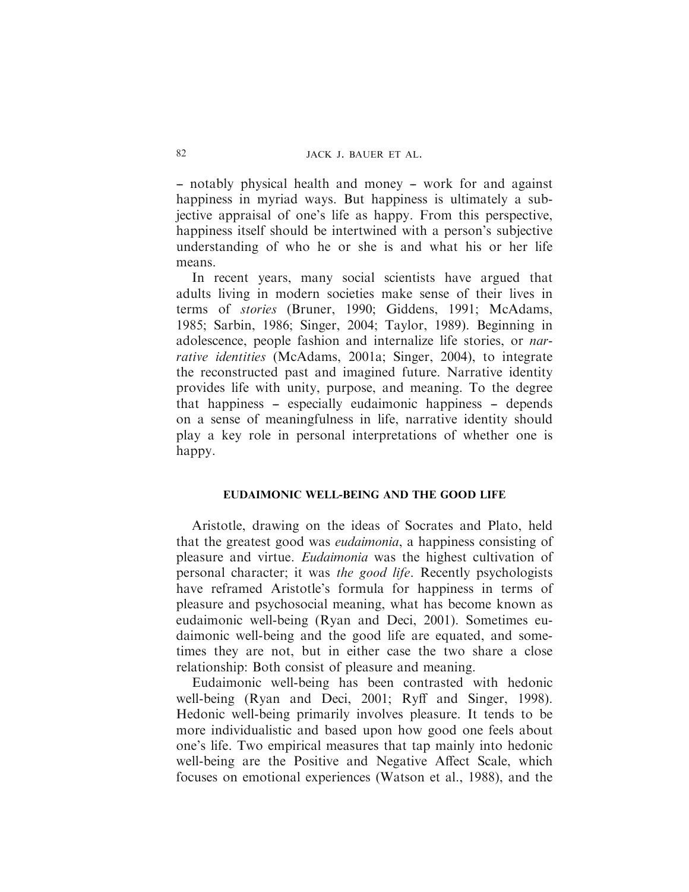- notably physical health and money - work for and against happiness in myriad ways. But happiness is ultimately a subjective appraisal of one's life as happy. From this perspective, happiness itself should be intertwined with a person's subjective understanding of who he or she is and what his or her life means.

In recent years, many social scientists have argued that adults living in modern societies make sense of their lives in terms of stories (Bruner, 1990; Giddens, 1991; McAdams, 1985; Sarbin, 1986; Singer, 2004; Taylor, 1989). Beginning in adolescence, people fashion and internalize life stories, or narrative identities (McAdams, 2001a; Singer, 2004), to integrate the reconstructed past and imagined future. Narrative identity provides life with unity, purpose, and meaning. To the degree that happiness – especially eudaimonic happiness – depends on a sense of meaningfulness in life, narrative identity should play a key role in personal interpretations of whether one is happy.

## EUDAIMONIC WELL-BEING AND THE GOOD LIFE

Aristotle, drawing on the ideas of Socrates and Plato, held that the greatest good was eudaimonia, a happiness consisting of pleasure and virtue. Eudaimonia was the highest cultivation of personal character; it was the good life. Recently psychologists have reframed Aristotle's formula for happiness in terms of pleasure and psychosocial meaning, what has become known as eudaimonic well-being (Ryan and Deci, 2001). Sometimes eudaimonic well-being and the good life are equated, and sometimes they are not, but in either case the two share a close relationship: Both consist of pleasure and meaning.

Eudaimonic well-being has been contrasted with hedonic well-being (Ryan and Deci, 2001; Ryff and Singer, 1998). Hedonic well-being primarily involves pleasure. It tends to be more individualistic and based upon how good one feels about one's life. Two empirical measures that tap mainly into hedonic well-being are the Positive and Negative Affect Scale, which focuses on emotional experiences (Watson et al., 1988), and the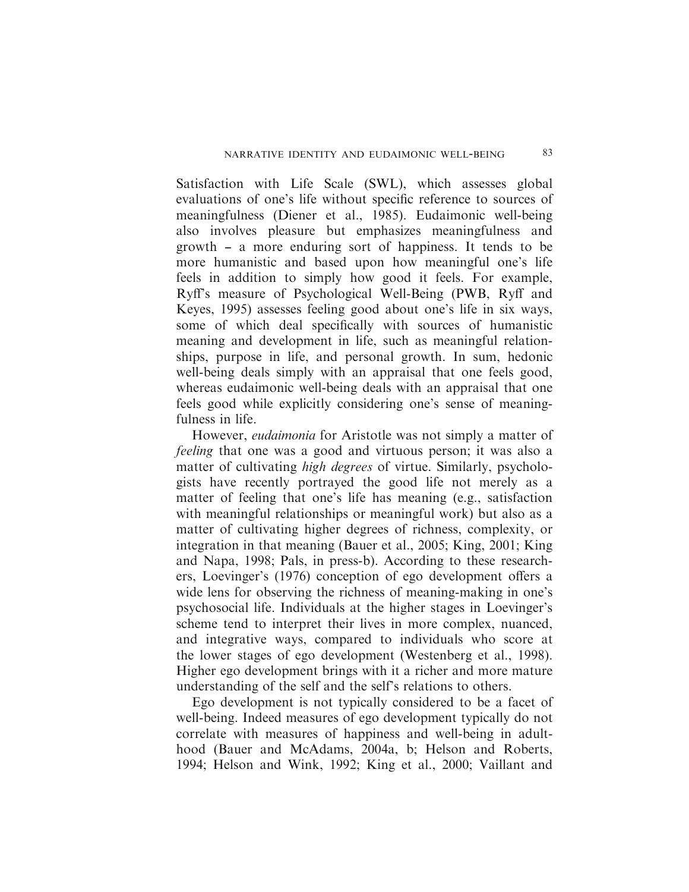Satisfaction with Life Scale (SWL), which assesses global evaluations of one's life without specific reference to sources of meaningfulness (Diener et al., 1985). Eudaimonic well-being also involves pleasure but emphasizes meaningfulness and growth – a more enduring sort of happiness. It tends to be more humanistic and based upon how meaningful one's life feels in addition to simply how good it feels. For example, Ryff's measure of Psychological Well-Being (PWB, Ryff and Keyes, 1995) assesses feeling good about one's life in six ways, some of which deal specifically with sources of humanistic meaning and development in life, such as meaningful relationships, purpose in life, and personal growth. In sum, hedonic well-being deals simply with an appraisal that one feels good, whereas eudaimonic well-being deals with an appraisal that one feels good while explicitly considering one's sense of meaningfulness in life.

However, *eudaimonia* for Aristotle was not simply a matter of feeling that one was a good and virtuous person; it was also a matter of cultivating high degrees of virtue. Similarly, psychologists have recently portrayed the good life not merely as a matter of feeling that one's life has meaning (e.g., satisfaction with meaningful relationships or meaningful work) but also as a matter of cultivating higher degrees of richness, complexity, or integration in that meaning (Bauer et al., 2005; King, 2001; King and Napa, 1998; Pals, in press-b). According to these researchers, Loevinger's (1976) conception of ego development offers a wide lens for observing the richness of meaning-making in one's psychosocial life. Individuals at the higher stages in Loevinger's scheme tend to interpret their lives in more complex, nuanced, and integrative ways, compared to individuals who score at the lower stages of ego development (Westenberg et al., 1998). Higher ego development brings with it a richer and more mature understanding of the self and the self's relations to others.

Ego development is not typically considered to be a facet of well-being. Indeed measures of ego development typically do not correlate with measures of happiness and well-being in adulthood (Bauer and McAdams, 2004a, b; Helson and Roberts, 1994; Helson and Wink, 1992; King et al., 2000; Vaillant and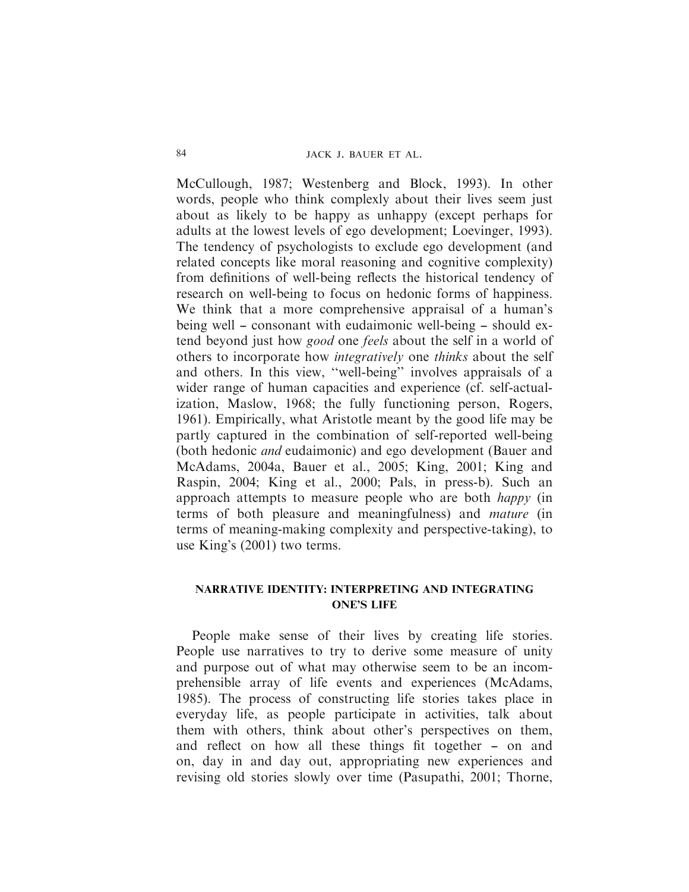McCullough, 1987; Westenberg and Block, 1993). In other words, people who think complexly about their lives seem just about as likely to be happy as unhappy (except perhaps for adults at the lowest levels of ego development; Loevinger, 1993). The tendency of psychologists to exclude ego development (and related concepts like moral reasoning and cognitive complexity) from definitions of well-being reflects the historical tendency of research on well-being to focus on hedonic forms of happiness. We think that a more comprehensive appraisal of a human's being well – consonant with eudaimonic well-being – should extend beyond just how good one feels about the self in a world of others to incorporate how integratively one thinks about the self and others. In this view, ''well-being'' involves appraisals of a wider range of human capacities and experience (cf. self-actualization, Maslow, 1968; the fully functioning person, Rogers, 1961). Empirically, what Aristotle meant by the good life may be partly captured in the combination of self-reported well-being (both hedonic and eudaimonic) and ego development (Bauer and McAdams, 2004a, Bauer et al., 2005; King, 2001; King and Raspin, 2004; King et al., 2000; Pals, in press-b). Such an approach attempts to measure people who are both happy (in terms of both pleasure and meaningfulness) and mature (in terms of meaning-making complexity and perspective-taking), to use King's (2001) two terms.

# NARRATIVE IDENTITY: INTERPRETING AND INTEGRATING ONE'S LIFE

People make sense of their lives by creating life stories. People use narratives to try to derive some measure of unity and purpose out of what may otherwise seem to be an incomprehensible array of life events and experiences (McAdams, 1985). The process of constructing life stories takes place in everyday life, as people participate in activities, talk about them with others, think about other's perspectives on them, and reflect on how all these things fit together – on and on, day in and day out, appropriating new experiences and revising old stories slowly over time (Pasupathi, 2001; Thorne,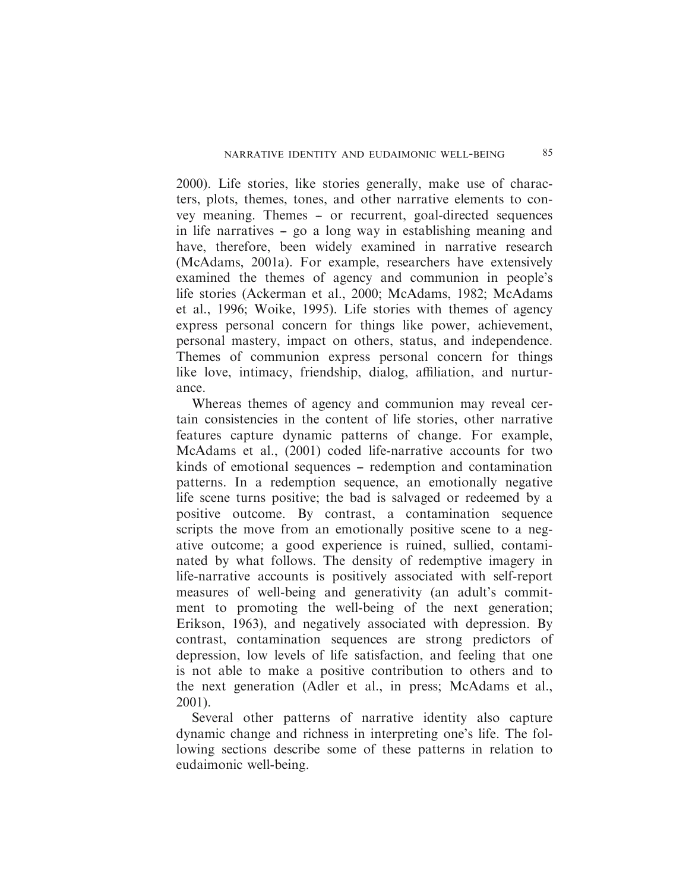2000). Life stories, like stories generally, make use of characters, plots, themes, tones, and other narrative elements to convey meaning. Themes -- or recurrent, goal-directed sequences in life narratives – go a long way in establishing meaning and have, therefore, been widely examined in narrative research (McAdams, 2001a). For example, researchers have extensively examined the themes of agency and communion in people's life stories (Ackerman et al., 2000; McAdams, 1982; McAdams et al., 1996; Woike, 1995). Life stories with themes of agency express personal concern for things like power, achievement, personal mastery, impact on others, status, and independence. Themes of communion express personal concern for things like love, intimacy, friendship, dialog, affiliation, and nurturance.

Whereas themes of agency and communion may reveal certain consistencies in the content of life stories, other narrative features capture dynamic patterns of change. For example, McAdams et al., (2001) coded life-narrative accounts for two kinds of emotional sequences – redemption and contamination patterns. In a redemption sequence, an emotionally negative life scene turns positive; the bad is salvaged or redeemed by a positive outcome. By contrast, a contamination sequence scripts the move from an emotionally positive scene to a negative outcome; a good experience is ruined, sullied, contaminated by what follows. The density of redemptive imagery in life-narrative accounts is positively associated with self-report measures of well-being and generativity (an adult's commitment to promoting the well-being of the next generation; Erikson, 1963), and negatively associated with depression. By contrast, contamination sequences are strong predictors of depression, low levels of life satisfaction, and feeling that one is not able to make a positive contribution to others and to the next generation (Adler et al., in press; McAdams et al., 2001).

Several other patterns of narrative identity also capture dynamic change and richness in interpreting one's life. The following sections describe some of these patterns in relation to eudaimonic well-being.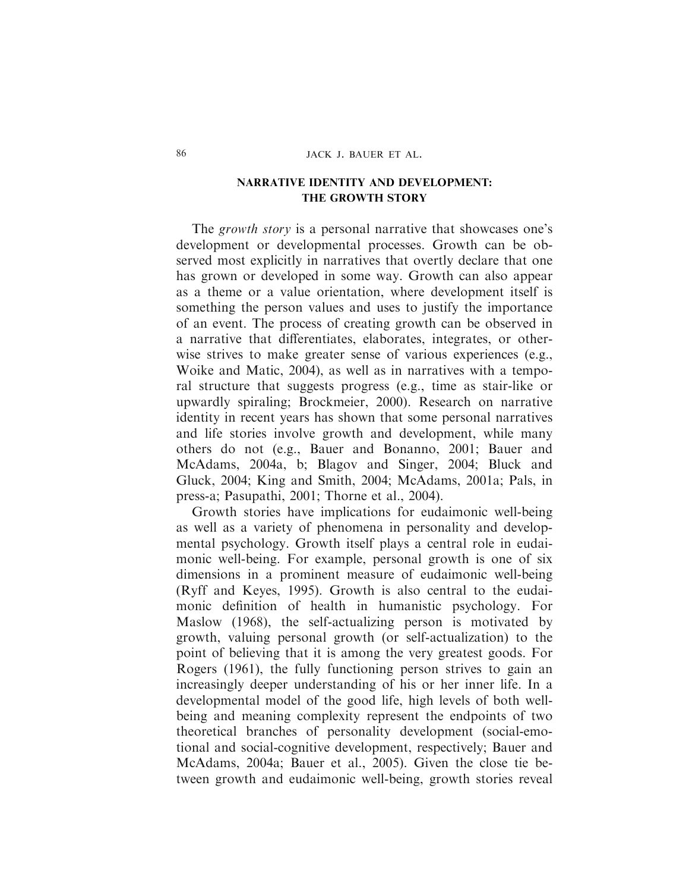## NARRATIVE IDENTITY AND DEVELOPMENT: THE GROWTH STORY

The *growth story* is a personal narrative that showcases one's development or developmental processes. Growth can be observed most explicitly in narratives that overtly declare that one has grown or developed in some way. Growth can also appear as a theme or a value orientation, where development itself is something the person values and uses to justify the importance of an event. The process of creating growth can be observed in a narrative that differentiates, elaborates, integrates, or otherwise strives to make greater sense of various experiences (e.g., Woike and Matic, 2004), as well as in narratives with a temporal structure that suggests progress (e.g., time as stair-like or upwardly spiraling; Brockmeier, 2000). Research on narrative identity in recent years has shown that some personal narratives and life stories involve growth and development, while many others do not (e.g., Bauer and Bonanno, 2001; Bauer and McAdams, 2004a, b; Blagov and Singer, 2004; Bluck and Gluck, 2004; King and Smith, 2004; McAdams, 2001a; Pals, in press-a; Pasupathi, 2001; Thorne et al., 2004).

Growth stories have implications for eudaimonic well-being as well as a variety of phenomena in personality and developmental psychology. Growth itself plays a central role in eudaimonic well-being. For example, personal growth is one of six dimensions in a prominent measure of eudaimonic well-being (Ryff and Keyes, 1995). Growth is also central to the eudaimonic definition of health in humanistic psychology. For Maslow (1968), the self-actualizing person is motivated by growth, valuing personal growth (or self-actualization) to the point of believing that it is among the very greatest goods. For Rogers (1961), the fully functioning person strives to gain an increasingly deeper understanding of his or her inner life. In a developmental model of the good life, high levels of both wellbeing and meaning complexity represent the endpoints of two theoretical branches of personality development (social-emotional and social-cognitive development, respectively; Bauer and McAdams, 2004a; Bauer et al., 2005). Given the close tie between growth and eudaimonic well-being, growth stories reveal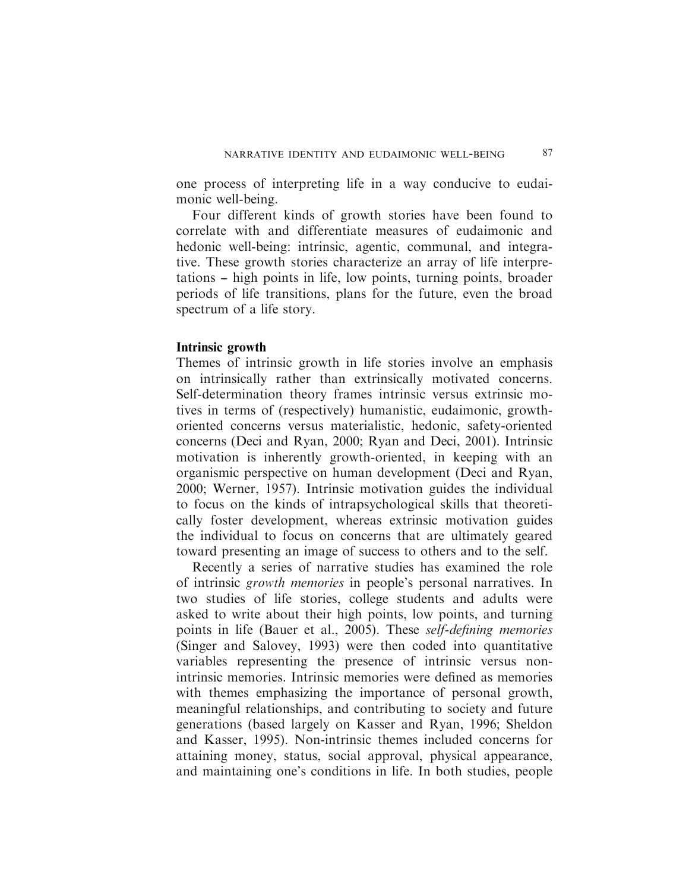one process of interpreting life in a way conducive to eudaimonic well-being.

Four different kinds of growth stories have been found to correlate with and differentiate measures of eudaimonic and hedonic well-being: intrinsic, agentic, communal, and integrative. These growth stories characterize an array of life interpretations – high points in life, low points, turning points, broader periods of life transitions, plans for the future, even the broad spectrum of a life story.

## Intrinsic growth

Themes of intrinsic growth in life stories involve an emphasis on intrinsically rather than extrinsically motivated concerns. Self-determination theory frames intrinsic versus extrinsic motives in terms of (respectively) humanistic, eudaimonic, growthoriented concerns versus materialistic, hedonic, safety-oriented concerns (Deci and Ryan, 2000; Ryan and Deci, 2001). Intrinsic motivation is inherently growth-oriented, in keeping with an organismic perspective on human development (Deci and Ryan, 2000; Werner, 1957). Intrinsic motivation guides the individual to focus on the kinds of intrapsychological skills that theoretically foster development, whereas extrinsic motivation guides the individual to focus on concerns that are ultimately geared toward presenting an image of success to others and to the self.

Recently a series of narrative studies has examined the role of intrinsic growth memories in people's personal narratives. In two studies of life stories, college students and adults were asked to write about their high points, low points, and turning points in life (Bauer et al., 2005). These self-defining memories (Singer and Salovey, 1993) were then coded into quantitative variables representing the presence of intrinsic versus nonintrinsic memories. Intrinsic memories were defined as memories with themes emphasizing the importance of personal growth, meaningful relationships, and contributing to society and future generations (based largely on Kasser and Ryan, 1996; Sheldon and Kasser, 1995). Non-intrinsic themes included concerns for attaining money, status, social approval, physical appearance, and maintaining one's conditions in life. In both studies, people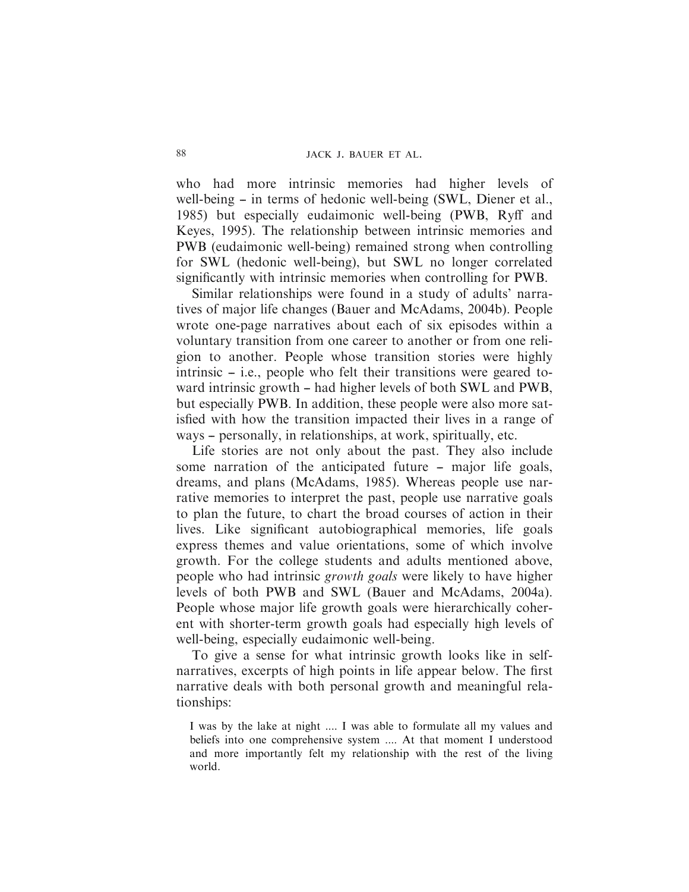who had more intrinsic memories had higher levels of well-being – in terms of hedonic well-being (SWL, Diener et al., 1985) but especially eudaimonic well-being (PWB, Ryff and Keyes, 1995). The relationship between intrinsic memories and PWB (eudaimonic well-being) remained strong when controlling for SWL (hedonic well-being), but SWL no longer correlated significantly with intrinsic memories when controlling for PWB.

Similar relationships were found in a study of adults' narratives of major life changes (Bauer and McAdams, 2004b). People wrote one-page narratives about each of six episodes within a voluntary transition from one career to another or from one religion to another. People whose transition stories were highly  $intrinsic - i.e., people who felt their transitions were geared to$ ward intrinsic growth – had higher levels of both SWL and PWB, but especially PWB. In addition, these people were also more satisfied with how the transition impacted their lives in a range of ways – personally, in relationships, at work, spiritually, etc.

Life stories are not only about the past. They also include some narration of the anticipated future – major life goals, dreams, and plans (McAdams, 1985). Whereas people use narrative memories to interpret the past, people use narrative goals to plan the future, to chart the broad courses of action in their lives. Like significant autobiographical memories, life goals express themes and value orientations, some of which involve growth. For the college students and adults mentioned above, people who had intrinsic growth goals were likely to have higher levels of both PWB and SWL (Bauer and McAdams, 2004a). People whose major life growth goals were hierarchically coherent with shorter-term growth goals had especially high levels of well-being, especially eudaimonic well-being.

To give a sense for what intrinsic growth looks like in selfnarratives, excerpts of high points in life appear below. The first narrative deals with both personal growth and meaningful relationships:

I was by the lake at night .... I was able to formulate all my values and beliefs into one comprehensive system .... At that moment I understood and more importantly felt my relationship with the rest of the living world.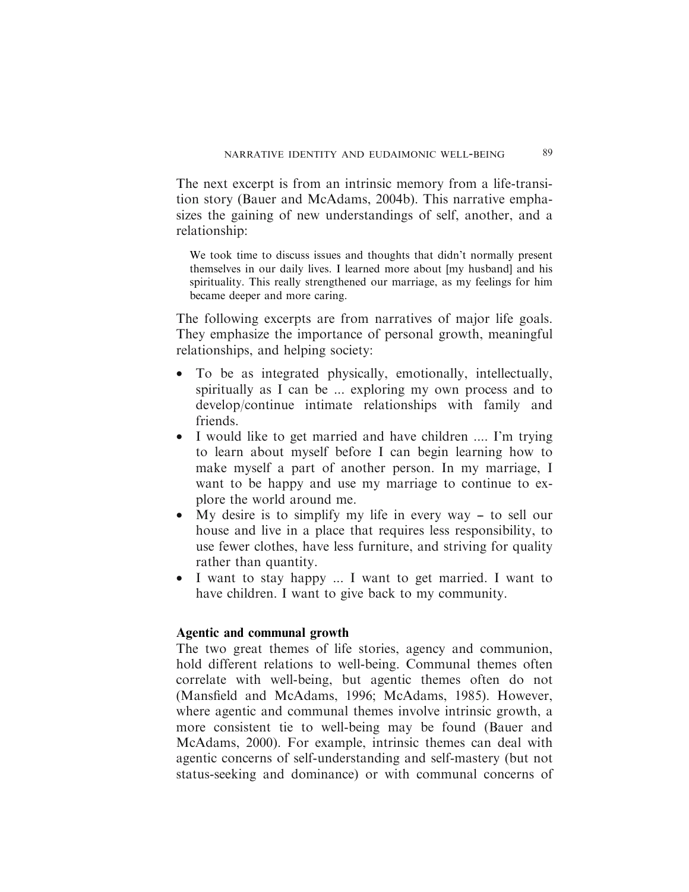The next excerpt is from an intrinsic memory from a life-transition story (Bauer and McAdams, 2004b). This narrative emphasizes the gaining of new understandings of self, another, and a relationship:

We took time to discuss issues and thoughts that didn't normally present themselves in our daily lives. I learned more about [my husband] and his spirituality. This really strengthened our marriage, as my feelings for him became deeper and more caring.

The following excerpts are from narratives of major life goals. They emphasize the importance of personal growth, meaningful relationships, and helping society:

- To be as integrated physically, emotionally, intellectually, spiritually as I can be ... exploring my own process and to develop/continue intimate relationships with family and friends.
- I would like to get married and have children .... I'm trying to learn about myself before I can begin learning how to make myself a part of another person. In my marriage, I want to be happy and use my marriage to continue to explore the world around me.
- My desire is to simplify my life in every way to sell our house and live in a place that requires less responsibility, to use fewer clothes, have less furniture, and striving for quality rather than quantity.
- I want to stay happy ... I want to get married. I want to have children. I want to give back to my community.

## Agentic and communal growth

The two great themes of life stories, agency and communion, hold different relations to well-being. Communal themes often correlate with well-being, but agentic themes often do not (Mansfield and McAdams, 1996; McAdams, 1985). However, where agentic and communal themes involve intrinsic growth, a more consistent tie to well-being may be found (Bauer and McAdams, 2000). For example, intrinsic themes can deal with agentic concerns of self-understanding and self-mastery (but not status-seeking and dominance) or with communal concerns of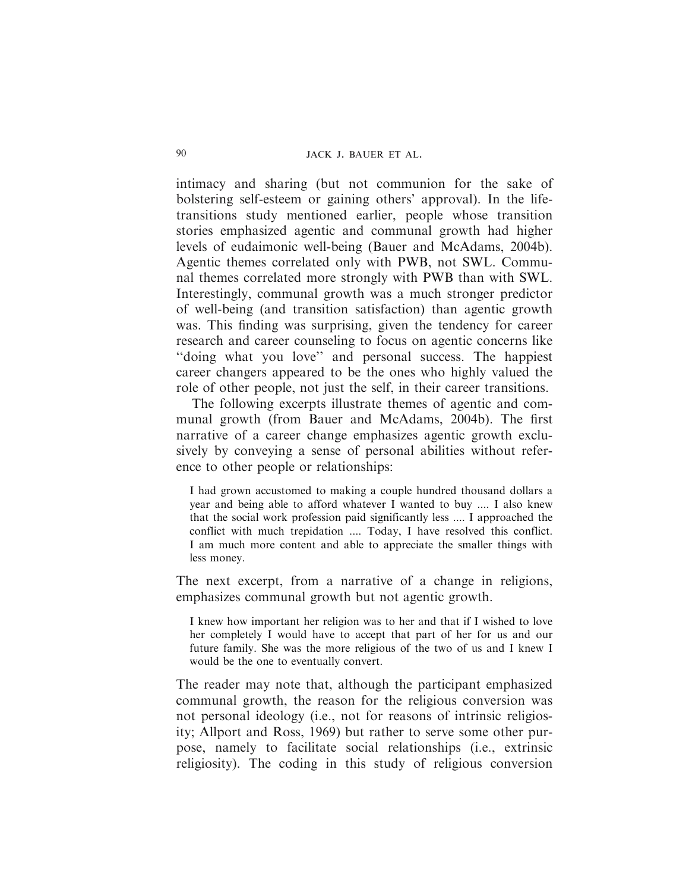intimacy and sharing (but not communion for the sake of bolstering self-esteem or gaining others' approval). In the lifetransitions study mentioned earlier, people whose transition stories emphasized agentic and communal growth had higher levels of eudaimonic well-being (Bauer and McAdams, 2004b). Agentic themes correlated only with PWB, not SWL. Communal themes correlated more strongly with PWB than with SWL. Interestingly, communal growth was a much stronger predictor of well-being (and transition satisfaction) than agentic growth was. This finding was surprising, given the tendency for career research and career counseling to focus on agentic concerns like ''doing what you love'' and personal success. The happiest career changers appeared to be the ones who highly valued the role of other people, not just the self, in their career transitions.

The following excerpts illustrate themes of agentic and communal growth (from Bauer and McAdams, 2004b). The first narrative of a career change emphasizes agentic growth exclusively by conveying a sense of personal abilities without reference to other people or relationships:

I had grown accustomed to making a couple hundred thousand dollars a year and being able to afford whatever I wanted to buy .... I also knew that the social work profession paid significantly less .... I approached the conflict with much trepidation .... Today, I have resolved this conflict. I am much more content and able to appreciate the smaller things with less money.

The next excerpt, from a narrative of a change in religions, emphasizes communal growth but not agentic growth.

I knew how important her religion was to her and that if I wished to love her completely I would have to accept that part of her for us and our future family. She was the more religious of the two of us and I knew I would be the one to eventually convert.

The reader may note that, although the participant emphasized communal growth, the reason for the religious conversion was not personal ideology (i.e., not for reasons of intrinsic religiosity; Allport and Ross, 1969) but rather to serve some other purpose, namely to facilitate social relationships (i.e., extrinsic religiosity). The coding in this study of religious conversion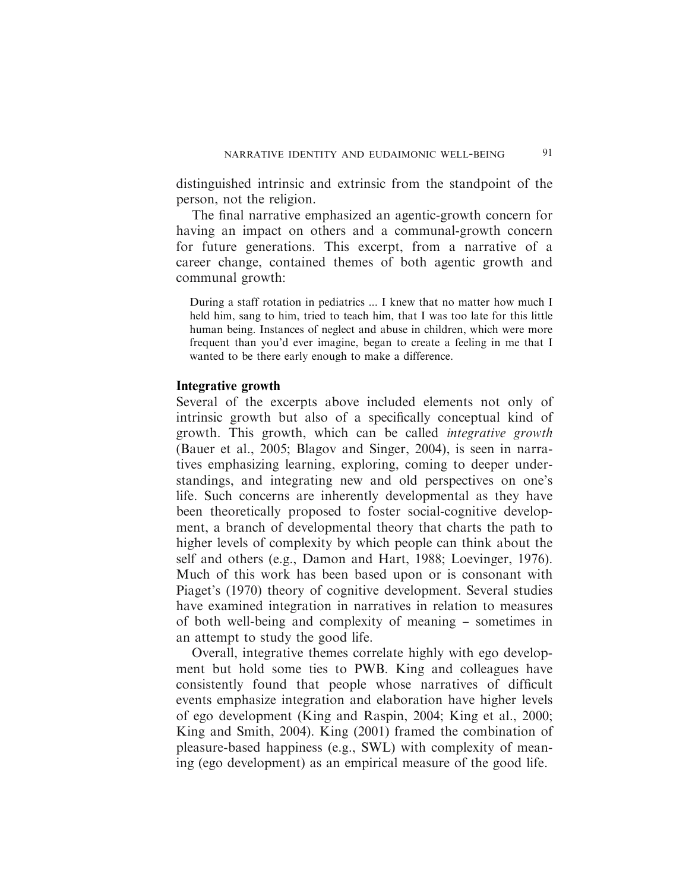distinguished intrinsic and extrinsic from the standpoint of the person, not the religion.

The final narrative emphasized an agentic-growth concern for having an impact on others and a communal-growth concern for future generations. This excerpt, from a narrative of a career change, contained themes of both agentic growth and communal growth:

During a staff rotation in pediatrics ... I knew that no matter how much I held him, sang to him, tried to teach him, that I was too late for this little human being. Instances of neglect and abuse in children, which were more frequent than you'd ever imagine, began to create a feeling in me that I wanted to be there early enough to make a difference.

### Integrative growth

Several of the excerpts above included elements not only of intrinsic growth but also of a specifically conceptual kind of growth. This growth, which can be called integrative growth (Bauer et al., 2005; Blagov and Singer, 2004), is seen in narratives emphasizing learning, exploring, coming to deeper understandings, and integrating new and old perspectives on one's life. Such concerns are inherently developmental as they have been theoretically proposed to foster social-cognitive development, a branch of developmental theory that charts the path to higher levels of complexity by which people can think about the self and others (e.g., Damon and Hart, 1988; Loevinger, 1976). Much of this work has been based upon or is consonant with Piaget's (1970) theory of cognitive development. Several studies have examined integration in narratives in relation to measures of both well-being and complexity of meaning – sometimes in an attempt to study the good life.

Overall, integrative themes correlate highly with ego development but hold some ties to PWB. King and colleagues have consistently found that people whose narratives of difficult events emphasize integration and elaboration have higher levels of ego development (King and Raspin, 2004; King et al., 2000; King and Smith, 2004). King (2001) framed the combination of pleasure-based happiness (e.g., SWL) with complexity of meaning (ego development) as an empirical measure of the good life.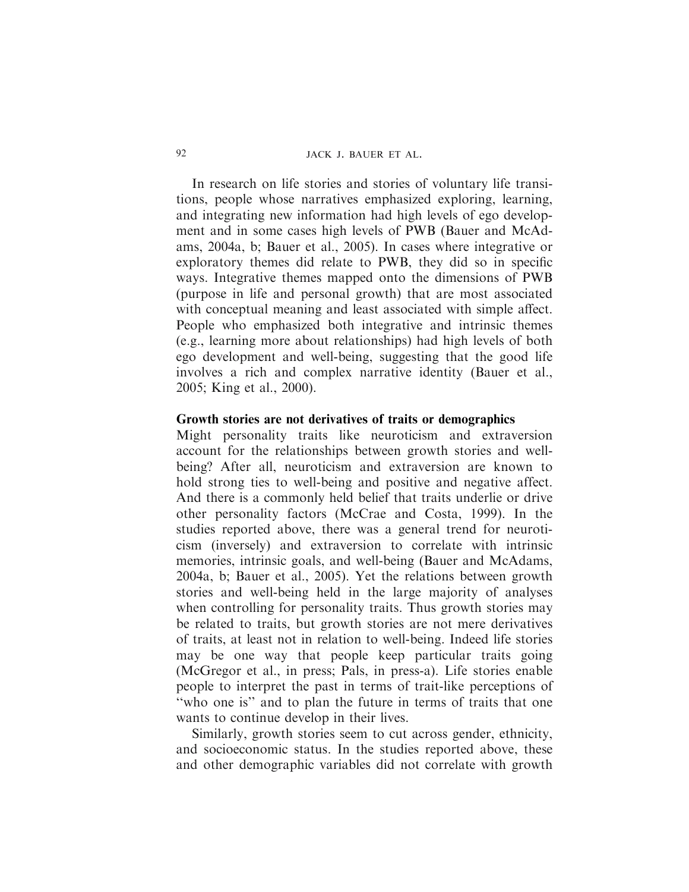## 92 JACK J. BAUER ET AL.

In research on life stories and stories of voluntary life transitions, people whose narratives emphasized exploring, learning, and integrating new information had high levels of ego development and in some cases high levels of PWB (Bauer and McAdams, 2004a, b; Bauer et al., 2005). In cases where integrative or exploratory themes did relate to PWB, they did so in specific ways. Integrative themes mapped onto the dimensions of PWB (purpose in life and personal growth) that are most associated with conceptual meaning and least associated with simple affect. People who emphasized both integrative and intrinsic themes (e.g., learning more about relationships) had high levels of both ego development and well-being, suggesting that the good life involves a rich and complex narrative identity (Bauer et al., 2005; King et al., 2000).

## Growth stories are not derivatives of traits or demographics

Might personality traits like neuroticism and extraversion account for the relationships between growth stories and wellbeing? After all, neuroticism and extraversion are known to hold strong ties to well-being and positive and negative affect. And there is a commonly held belief that traits underlie or drive other personality factors (McCrae and Costa, 1999). In the studies reported above, there was a general trend for neuroticism (inversely) and extraversion to correlate with intrinsic memories, intrinsic goals, and well-being (Bauer and McAdams, 2004a, b; Bauer et al., 2005). Yet the relations between growth stories and well-being held in the large majority of analyses when controlling for personality traits. Thus growth stories may be related to traits, but growth stories are not mere derivatives of traits, at least not in relation to well-being. Indeed life stories may be one way that people keep particular traits going (McGregor et al., in press; Pals, in press-a). Life stories enable people to interpret the past in terms of trait-like perceptions of "who one is" and to plan the future in terms of traits that one wants to continue develop in their lives.

Similarly, growth stories seem to cut across gender, ethnicity, and socioeconomic status. In the studies reported above, these and other demographic variables did not correlate with growth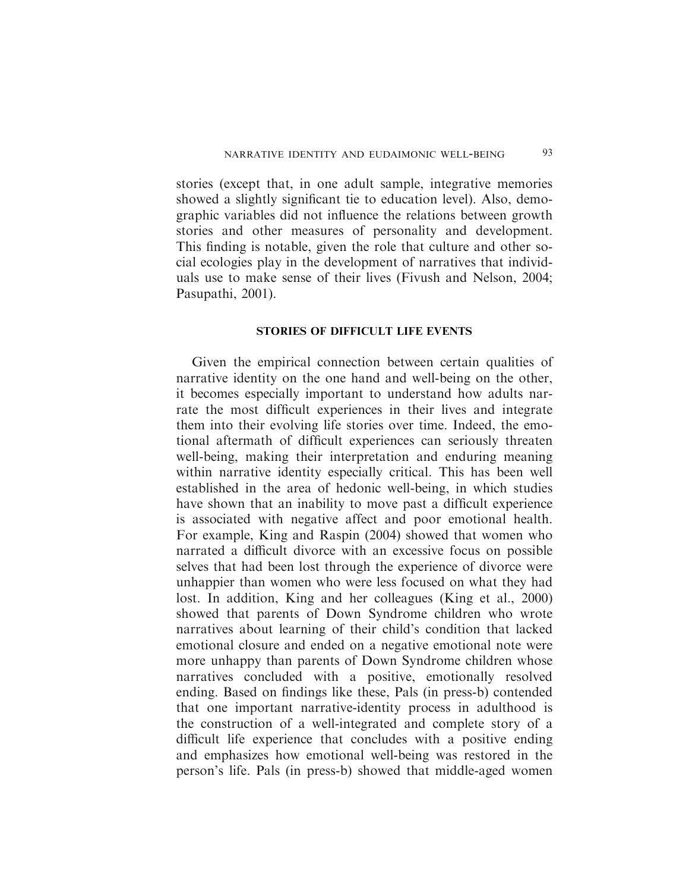stories (except that, in one adult sample, integrative memories showed a slightly significant tie to education level). Also, demographic variables did not influence the relations between growth stories and other measures of personality and development. This finding is notable, given the role that culture and other social ecologies play in the development of narratives that individuals use to make sense of their lives (Fivush and Nelson, 2004; Pasupathi, 2001).

### STORIES OF DIFFICULT LIFE EVENTS

Given the empirical connection between certain qualities of narrative identity on the one hand and well-being on the other, it becomes especially important to understand how adults narrate the most difficult experiences in their lives and integrate them into their evolving life stories over time. Indeed, the emotional aftermath of difficult experiences can seriously threaten well-being, making their interpretation and enduring meaning within narrative identity especially critical. This has been well established in the area of hedonic well-being, in which studies have shown that an inability to move past a difficult experience is associated with negative affect and poor emotional health. For example, King and Raspin (2004) showed that women who narrated a difficult divorce with an excessive focus on possible selves that had been lost through the experience of divorce were unhappier than women who were less focused on what they had lost. In addition, King and her colleagues (King et al., 2000) showed that parents of Down Syndrome children who wrote narratives about learning of their child's condition that lacked emotional closure and ended on a negative emotional note were more unhappy than parents of Down Syndrome children whose narratives concluded with a positive, emotionally resolved ending. Based on findings like these, Pals (in press-b) contended that one important narrative-identity process in adulthood is the construction of a well-integrated and complete story of a difficult life experience that concludes with a positive ending and emphasizes how emotional well-being was restored in the person's life. Pals (in press-b) showed that middle-aged women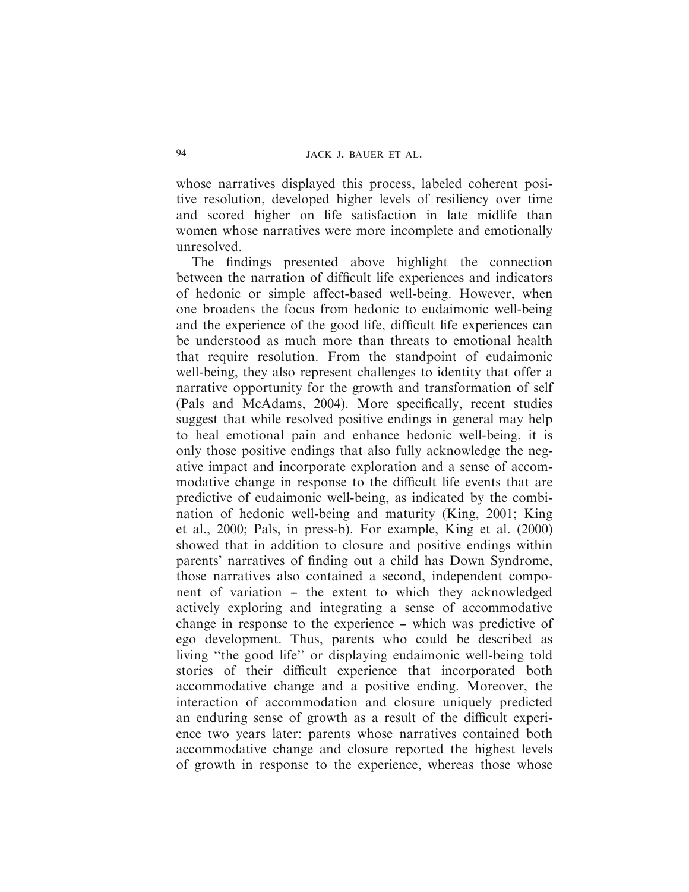whose narratives displayed this process, labeled coherent positive resolution, developed higher levels of resiliency over time and scored higher on life satisfaction in late midlife than women whose narratives were more incomplete and emotionally unresolved.

The findings presented above highlight the connection between the narration of difficult life experiences and indicators of hedonic or simple affect-based well-being. However, when one broadens the focus from hedonic to eudaimonic well-being and the experience of the good life, difficult life experiences can be understood as much more than threats to emotional health that require resolution. From the standpoint of eudaimonic well-being, they also represent challenges to identity that offer a narrative opportunity for the growth and transformation of self (Pals and McAdams, 2004). More specifically, recent studies suggest that while resolved positive endings in general may help to heal emotional pain and enhance hedonic well-being, it is only those positive endings that also fully acknowledge the negative impact and incorporate exploration and a sense of accommodative change in response to the difficult life events that are predictive of eudaimonic well-being, as indicated by the combination of hedonic well-being and maturity (King, 2001; King et al., 2000; Pals, in press-b). For example, King et al. (2000) showed that in addition to closure and positive endings within parents' narratives of finding out a child has Down Syndrome, those narratives also contained a second, independent component of variation – the extent to which they acknowledged actively exploring and integrating a sense of accommodative change in response to the experience – which was predictive of ego development. Thus, parents who could be described as living ''the good life'' or displaying eudaimonic well-being told stories of their difficult experience that incorporated both accommodative change and a positive ending. Moreover, the interaction of accommodation and closure uniquely predicted an enduring sense of growth as a result of the difficult experience two years later: parents whose narratives contained both accommodative change and closure reported the highest levels of growth in response to the experience, whereas those whose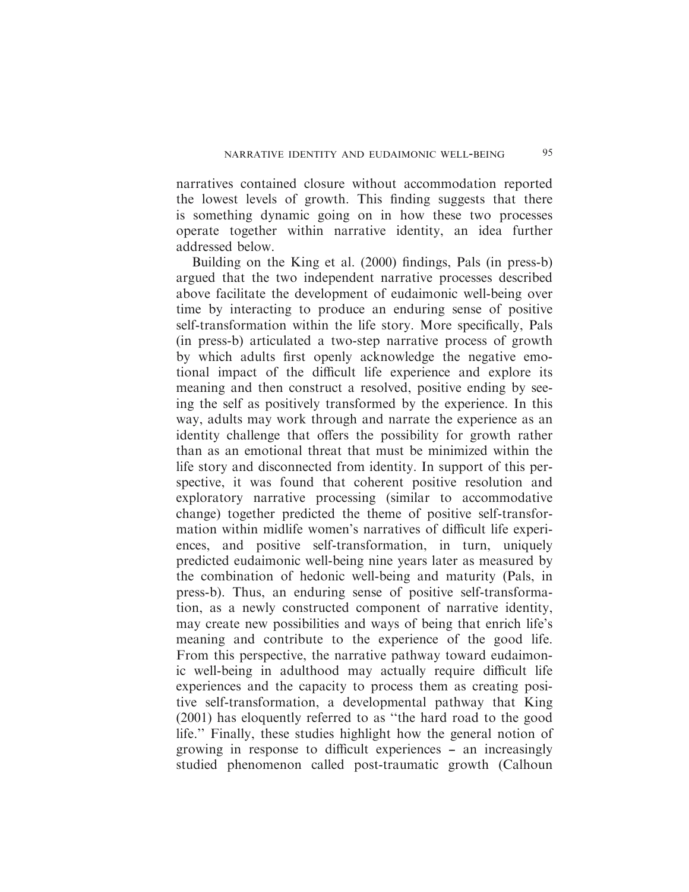narratives contained closure without accommodation reported the lowest levels of growth. This finding suggests that there is something dynamic going on in how these two processes operate together within narrative identity, an idea further addressed below.

Building on the King et al. (2000) findings, Pals (in press-b) argued that the two independent narrative processes described above facilitate the development of eudaimonic well-being over time by interacting to produce an enduring sense of positive self-transformation within the life story. More specifically, Pals (in press-b) articulated a two-step narrative process of growth by which adults first openly acknowledge the negative emotional impact of the difficult life experience and explore its meaning and then construct a resolved, positive ending by seeing the self as positively transformed by the experience. In this way, adults may work through and narrate the experience as an identity challenge that offers the possibility for growth rather than as an emotional threat that must be minimized within the life story and disconnected from identity. In support of this perspective, it was found that coherent positive resolution and exploratory narrative processing (similar to accommodative change) together predicted the theme of positive self-transformation within midlife women's narratives of difficult life experiences, and positive self-transformation, in turn, uniquely predicted eudaimonic well-being nine years later as measured by the combination of hedonic well-being and maturity (Pals, in press-b). Thus, an enduring sense of positive self-transformation, as a newly constructed component of narrative identity, may create new possibilities and ways of being that enrich life's meaning and contribute to the experience of the good life. From this perspective, the narrative pathway toward eudaimonic well-being in adulthood may actually require difficult life experiences and the capacity to process them as creating positive self-transformation, a developmental pathway that King (2001) has eloquently referred to as ''the hard road to the good life.'' Finally, these studies highlight how the general notion of growing in response to difficult experiences – an increasingly studied phenomenon called post-traumatic growth (Calhoun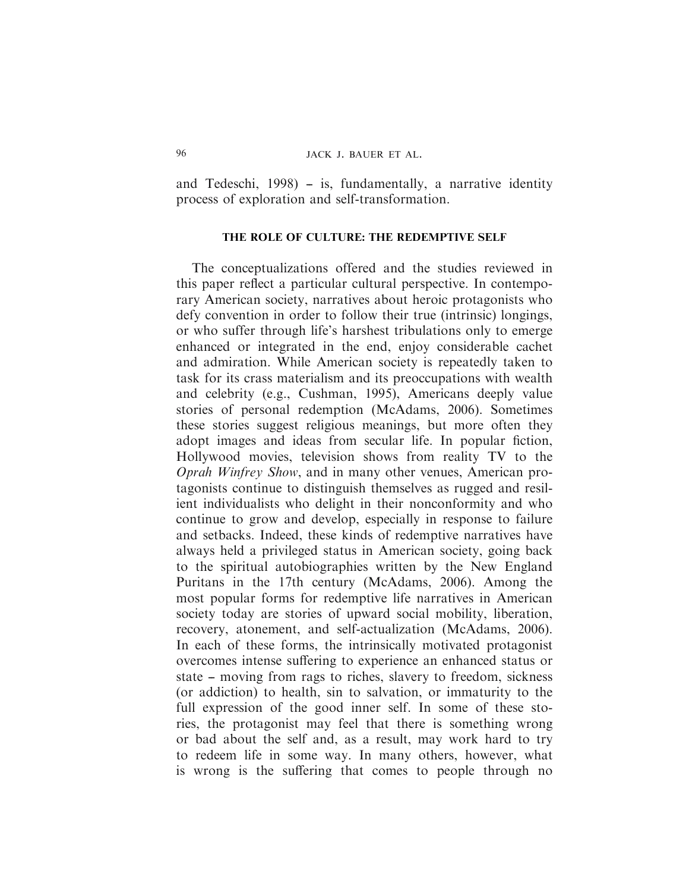and Tedeschi,  $1998$ ) – is, fundamentally, a narrative identity process of exploration and self-transformation.

### THE ROLE OF CULTURE: THE REDEMPTIVE SELF

The conceptualizations offered and the studies reviewed in this paper reflect a particular cultural perspective. In contemporary American society, narratives about heroic protagonists who defy convention in order to follow their true (intrinsic) longings, or who suffer through life's harshest tribulations only to emerge enhanced or integrated in the end, enjoy considerable cachet and admiration. While American society is repeatedly taken to task for its crass materialism and its preoccupations with wealth and celebrity (e.g., Cushman, 1995), Americans deeply value stories of personal redemption (McAdams, 2006). Sometimes these stories suggest religious meanings, but more often they adopt images and ideas from secular life. In popular fiction, Hollywood movies, television shows from reality TV to the Oprah Winfrey Show, and in many other venues, American protagonists continue to distinguish themselves as rugged and resilient individualists who delight in their nonconformity and who continue to grow and develop, especially in response to failure and setbacks. Indeed, these kinds of redemptive narratives have always held a privileged status in American society, going back to the spiritual autobiographies written by the New England Puritans in the 17th century (McAdams, 2006). Among the most popular forms for redemptive life narratives in American society today are stories of upward social mobility, liberation, recovery, atonement, and self-actualization (McAdams, 2006). In each of these forms, the intrinsically motivated protagonist overcomes intense suffering to experience an enhanced status or state – moving from rags to riches, slavery to freedom, sickness (or addiction) to health, sin to salvation, or immaturity to the full expression of the good inner self. In some of these stories, the protagonist may feel that there is something wrong or bad about the self and, as a result, may work hard to try to redeem life in some way. In many others, however, what is wrong is the suffering that comes to people through no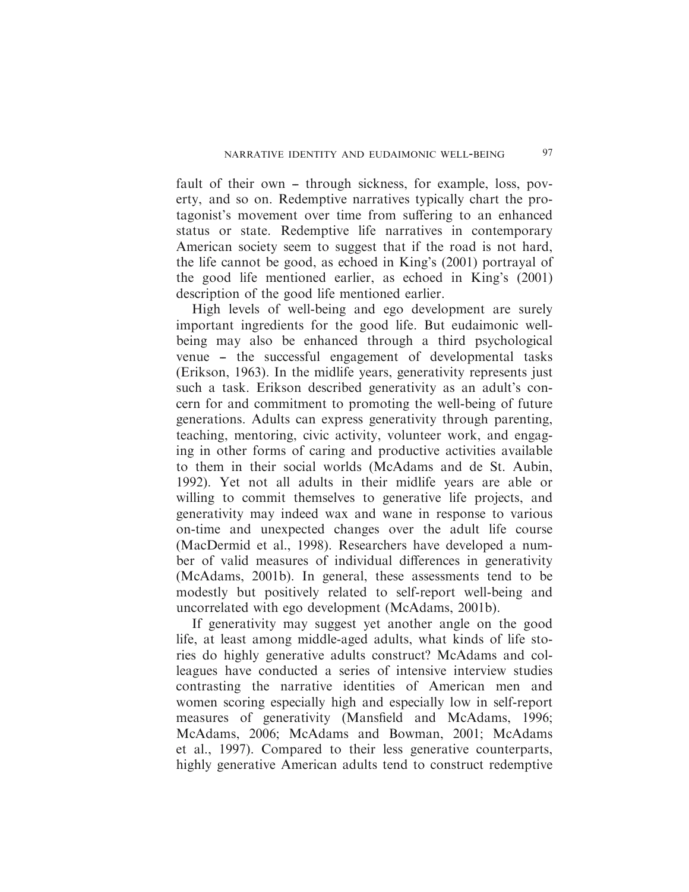fault of their own – through sickness, for example, loss, poverty, and so on. Redemptive narratives typically chart the protagonist's movement over time from suffering to an enhanced status or state. Redemptive life narratives in contemporary American society seem to suggest that if the road is not hard, the life cannot be good, as echoed in King's (2001) portrayal of the good life mentioned earlier, as echoed in King's (2001) description of the good life mentioned earlier.

High levels of well-being and ego development are surely important ingredients for the good life. But eudaimonic wellbeing may also be enhanced through a third psychological venue – the successful engagement of developmental tasks (Erikson, 1963). In the midlife years, generativity represents just such a task. Erikson described generativity as an adult's concern for and commitment to promoting the well-being of future generations. Adults can express generativity through parenting, teaching, mentoring, civic activity, volunteer work, and engaging in other forms of caring and productive activities available to them in their social worlds (McAdams and de St. Aubin, 1992). Yet not all adults in their midlife years are able or willing to commit themselves to generative life projects, and generativity may indeed wax and wane in response to various on-time and unexpected changes over the adult life course (MacDermid et al., 1998). Researchers have developed a number of valid measures of individual differences in generativity (McAdams, 2001b). In general, these assessments tend to be modestly but positively related to self-report well-being and uncorrelated with ego development (McAdams, 2001b).

If generativity may suggest yet another angle on the good life, at least among middle-aged adults, what kinds of life stories do highly generative adults construct? McAdams and colleagues have conducted a series of intensive interview studies contrasting the narrative identities of American men and women scoring especially high and especially low in self-report measures of generativity (Mansfield and McAdams, 1996; McAdams, 2006; McAdams and Bowman, 2001; McAdams et al., 1997). Compared to their less generative counterparts, highly generative American adults tend to construct redemptive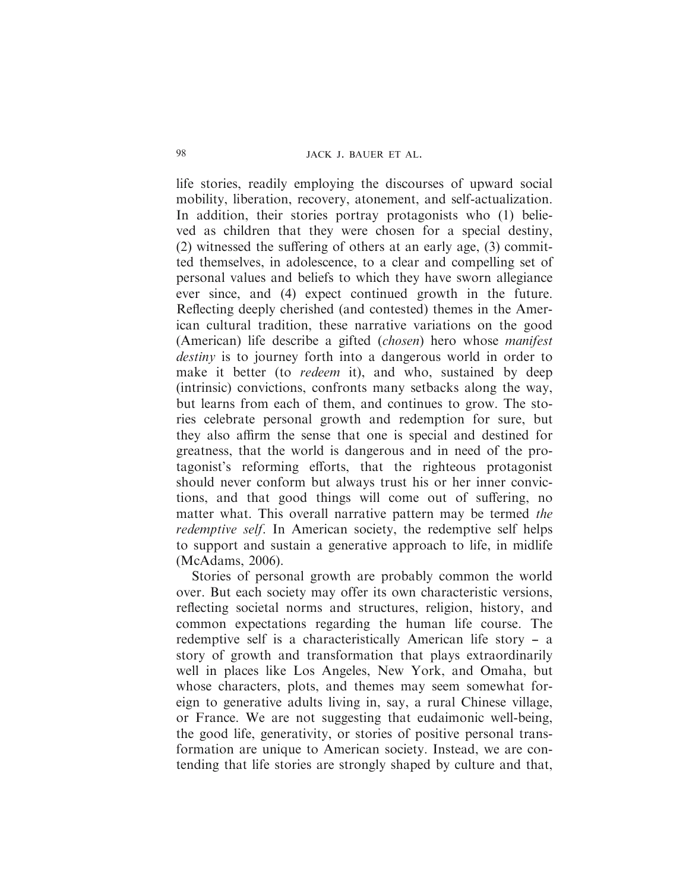life stories, readily employing the discourses of upward social mobility, liberation, recovery, atonement, and self-actualization. In addition, their stories portray protagonists who (1) believed as children that they were chosen for a special destiny, (2) witnessed the suffering of others at an early age, (3) committed themselves, in adolescence, to a clear and compelling set of personal values and beliefs to which they have sworn allegiance ever since, and (4) expect continued growth in the future. Reflecting deeply cherished (and contested) themes in the American cultural tradition, these narrative variations on the good (American) life describe a gifted (chosen) hero whose manifest destiny is to journey forth into a dangerous world in order to make it better (to *redeem* it), and who, sustained by deep (intrinsic) convictions, confronts many setbacks along the way, but learns from each of them, and continues to grow. The stories celebrate personal growth and redemption for sure, but they also affirm the sense that one is special and destined for greatness, that the world is dangerous and in need of the protagonist's reforming efforts, that the righteous protagonist should never conform but always trust his or her inner convictions, and that good things will come out of suffering, no matter what. This overall narrative pattern may be termed the redemptive self. In American society, the redemptive self helps to support and sustain a generative approach to life, in midlife (McAdams, 2006).

Stories of personal growth are probably common the world over. But each society may offer its own characteristic versions, reflecting societal norms and structures, religion, history, and common expectations regarding the human life course. The redemptive self is a characteristically American life story - a story of growth and transformation that plays extraordinarily well in places like Los Angeles, New York, and Omaha, but whose characters, plots, and themes may seem somewhat foreign to generative adults living in, say, a rural Chinese village, or France. We are not suggesting that eudaimonic well-being, the good life, generativity, or stories of positive personal transformation are unique to American society. Instead, we are contending that life stories are strongly shaped by culture and that,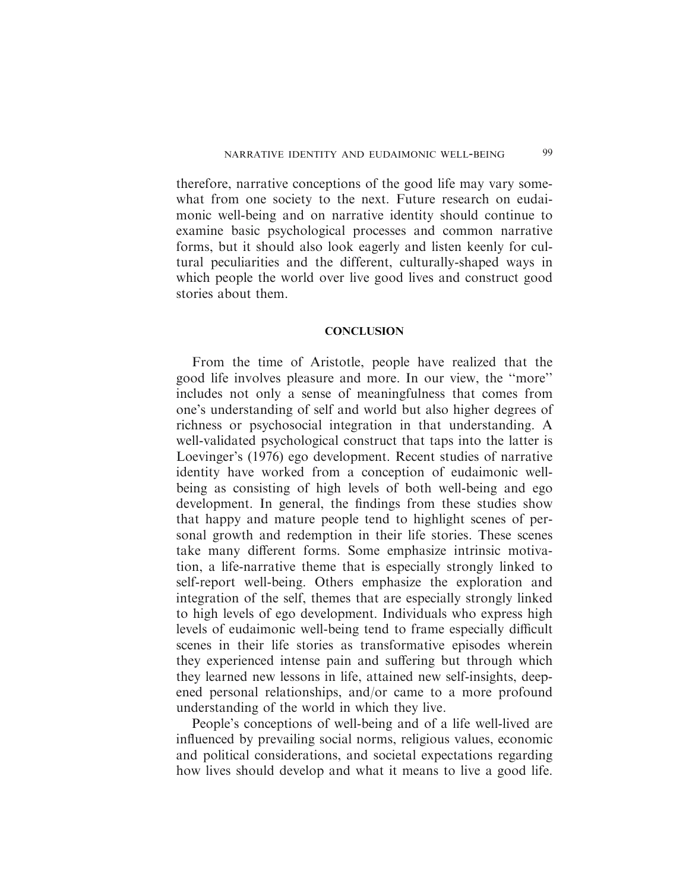therefore, narrative conceptions of the good life may vary somewhat from one society to the next. Future research on eudaimonic well-being and on narrative identity should continue to examine basic psychological processes and common narrative forms, but it should also look eagerly and listen keenly for cultural peculiarities and the different, culturally-shaped ways in which people the world over live good lives and construct good stories about them.

#### **CONCLUSION**

From the time of Aristotle, people have realized that the good life involves pleasure and more. In our view, the ''more'' includes not only a sense of meaningfulness that comes from one's understanding of self and world but also higher degrees of richness or psychosocial integration in that understanding. A well-validated psychological construct that taps into the latter is Loevinger's (1976) ego development. Recent studies of narrative identity have worked from a conception of eudaimonic wellbeing as consisting of high levels of both well-being and ego development. In general, the findings from these studies show that happy and mature people tend to highlight scenes of personal growth and redemption in their life stories. These scenes take many different forms. Some emphasize intrinsic motivation, a life-narrative theme that is especially strongly linked to self-report well-being. Others emphasize the exploration and integration of the self, themes that are especially strongly linked to high levels of ego development. Individuals who express high levels of eudaimonic well-being tend to frame especially difficult scenes in their life stories as transformative episodes wherein they experienced intense pain and suffering but through which they learned new lessons in life, attained new self-insights, deepened personal relationships, and/or came to a more profound understanding of the world in which they live.

People's conceptions of well-being and of a life well-lived are influenced by prevailing social norms, religious values, economic and political considerations, and societal expectations regarding how lives should develop and what it means to live a good life.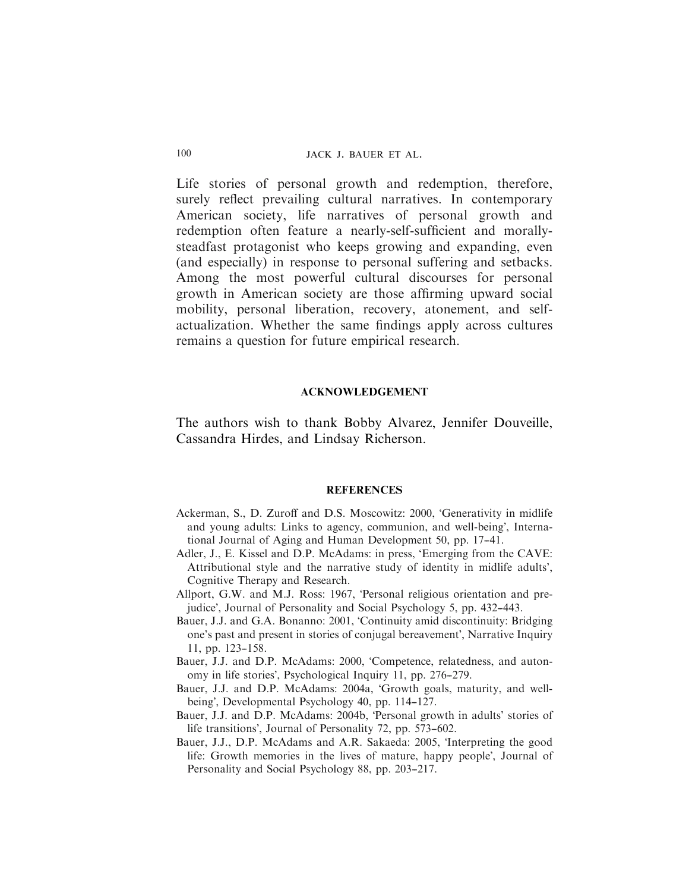Life stories of personal growth and redemption, therefore, surely reflect prevailing cultural narratives. In contemporary American society, life narratives of personal growth and redemption often feature a nearly-self-sufficient and morallysteadfast protagonist who keeps growing and expanding, even (and especially) in response to personal suffering and setbacks. Among the most powerful cultural discourses for personal growth in American society are those affirming upward social mobility, personal liberation, recovery, atonement, and selfactualization. Whether the same findings apply across cultures remains a question for future empirical research.

#### ACKNOWLEDGEMENT

The authors wish to thank Bobby Alvarez, Jennifer Douveille, Cassandra Hirdes, and Lindsay Richerson.

#### REFERENCES

- Ackerman, S., D. Zuroff and D.S. Moscowitz: 2000, 'Generativity in midlife and young adults: Links to agency, communion, and well-being', International Journal of Aging and Human Development 50, pp. 17–41.
- Adler, J., E. Kissel and D.P. McAdams: in press, 'Emerging from the CAVE: Attributional style and the narrative study of identity in midlife adults', Cognitive Therapy and Research.
- Allport, G.W. and M.J. Ross: 1967, 'Personal religious orientation and prejudice', Journal of Personality and Social Psychology 5, pp. 432-443.
- Bauer, J.J. and G.A. Bonanno: 2001, 'Continuity amid discontinuity: Bridging one's past and present in stories of conjugal bereavement", Narrative Inquiry 11, pp. 123-158.
- Bauer, J.J. and D.P. McAdams: 2000, 'Competence, relatedness, and autonomy in life stories', Psychological Inquiry 11, pp. 276-279.
- Bauer, J.J. and D.P. McAdams: 2004a, 'Growth goals, maturity, and wellbeing', Developmental Psychology 40, pp. 114-127.
- Bauer, J.J. and D.P. McAdams: 2004b, 'Personal growth in adults' stories of life transitions', Journal of Personality 72, pp. 573–602.
- Bauer, J.J., D.P. McAdams and A.R. Sakaeda: 2005, 'Interpreting the good life: Growth memories in the lives of mature, happy people", Journal of Personality and Social Psychology 88, pp. 203-217.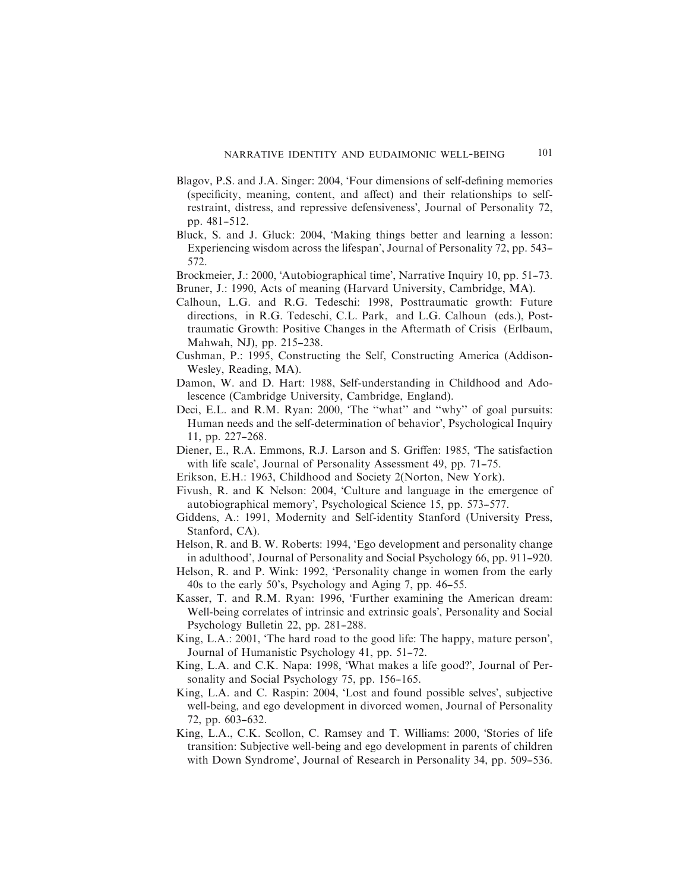- Blagov, P.S. and J.A. Singer: 2004, 'Four dimensions of self-defining memories (specificity, meaning, content, and affect) and their relationships to selfrestraint, distress, and repressive defensiveness", Journal of Personality 72, pp. 481-512.
- Bluck, S. and J. Gluck: 2004, 'Making things better and learning a lesson: Experiencing wisdom across the lifespan', Journal of Personality 72, pp. 543– 572.
- Brockmeier, J.: 2000, 'Autobiographical time', Narrative Inquiry 10, pp. 51–73. Bruner, J.: 1990, Acts of meaning (Harvard University, Cambridge, MA).
- Calhoun, L.G. and R.G. Tedeschi: 1998, Posttraumatic growth: Future directions, in R.G. Tedeschi, C.L. Park, and L.G. Calhoun (eds.), Posttraumatic Growth: Positive Changes in the Aftermath of Crisis (Erlbaum, Mahwah, NJ), pp. 215-238.
- Cushman, P.: 1995, Constructing the Self, Constructing America (Addison-Wesley, Reading, MA).
- Damon, W. and D. Hart: 1988, Self-understanding in Childhood and Adolescence (Cambridge University, Cambridge, England).
- Deci, E.L. and R.M. Ryan: 2000, 'The "what" and "why" of goal pursuits: Human needs and the self-determination of behavior", Psychological Inquiry 11, pp. 227-268.
- Diener, E., R.A. Emmons, R.J. Larson and S. Griffen: 1985, 'The satisfaction with life scale', Journal of Personality Assessment 49, pp. 71-75.
- Erikson, E.H.: 1963, Childhood and Society 2(Norton, New York).
- Fivush, R. and K Nelson: 2004, 'Culture and language in the emergence of autobiographical memory', Psychological Science 15, pp. 573–577.
- Giddens, A.: 1991, Modernity and Self-identity Stanford (University Press, Stanford, CA).
- Helson, R. and B. W. Roberts: 1994, 'Ego development and personality change in adulthood', Journal of Personality and Social Psychology 66, pp. 911-920.
- Helson, R. and P. Wink: 1992, 'Personality change in women from the early 40s to the early 50's, Psychology and Aging 7, pp. 46–55.
- Kasser, T. and R.M. Ryan: 1996, 'Further examining the American dream: Well-being correlates of intrinsic and extrinsic goals", Personality and Social Psychology Bulletin 22, pp. 281-288.
- King, L.A.: 2001, 'The hard road to the good life: The happy, mature person', Journal of Humanistic Psychology 41, pp. 51-72.
- King, L.A. and C.K. Napa: 1998, 'What makes a life good?', Journal of Personality and Social Psychology 75, pp. 156-165.
- King, L.A. and C. Raspin: 2004, 'Lost and found possible selves', subjective well-being, and ego development in divorced women, Journal of Personality 72, pp. 603-632.
- King, L.A., C.K. Scollon, C. Ramsey and T. Williams: 2000, 'Stories of life transition: Subjective well-being and ego development in parents of children with Down Syndrome', Journal of Research in Personality 34, pp. 509–536.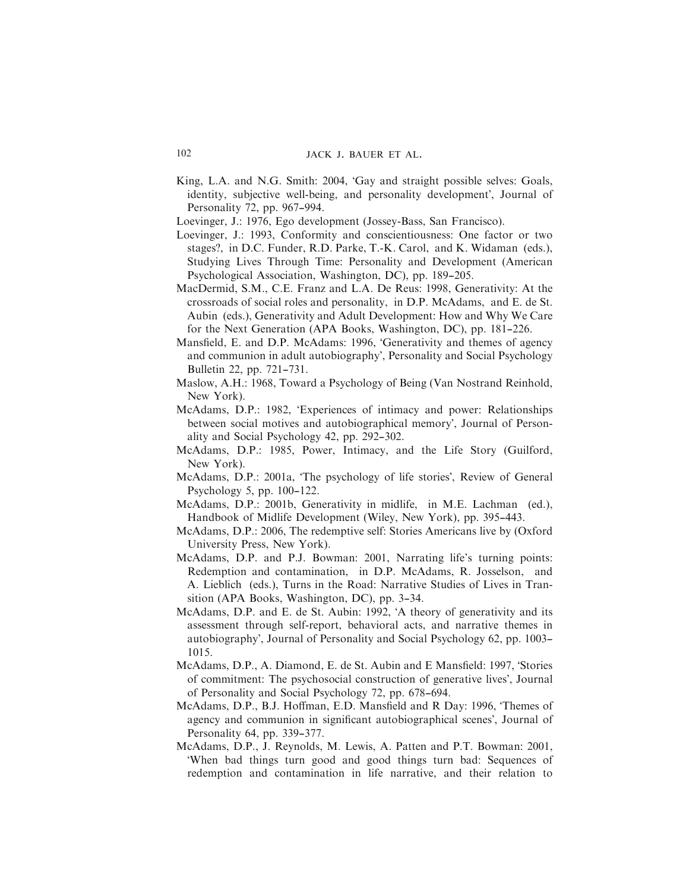- King, L.A. and N.G. Smith: 2004, 'Gay and straight possible selves: Goals, identity, subjective well-being, and personality development', Journal of Personality 72, pp. 967-994.
- Loevinger, J.: 1976, Ego development (Jossey-Bass, San Francisco).
- Loevinger, J.: 1993, Conformity and conscientiousness: One factor or two stages?, in D.C. Funder, R.D. Parke, T.-K. Carol, and K. Widaman (eds.), Studying Lives Through Time: Personality and Development (American Psychological Association, Washington, DC), pp. 189–205.
- MacDermid, S.M., C.E. Franz and L.A. De Reus: 1998, Generativity: At the crossroads of social roles and personality, in D.P. McAdams, and E. de St. Aubin (eds.), Generativity and Adult Development: How and Why We Care for the Next Generation (APA Books, Washington, DC), pp. 181-226.
- Mansfield, E. and D.P. McAdams: 1996, 'Generativity and themes of agency and communion in adult autobiography", Personality and Social Psychology Bulletin 22, pp. 721-731.
- Maslow, A.H.: 1968, Toward a Psychology of Being (Van Nostrand Reinhold, New York).
- McAdams, D.P.: 1982, 'Experiences of intimacy and power: Relationships between social motives and autobiographical memory", Journal of Personality and Social Psychology 42, pp. 292–302.
- McAdams, D.P.: 1985, Power, Intimacy, and the Life Story (Guilford, New York).
- McAdams, D.P.: 2001a, 'The psychology of life stories', Review of General Psychology 5, pp.  $100-122$ .
- McAdams, D.P.: 2001b, Generativity in midlife, in M.E. Lachman (ed.), Handbook of Midlife Development (Wiley, New York), pp. 395–443.
- McAdams, D.P.: 2006, The redemptive self: Stories Americans live by (Oxford University Press, New York).
- McAdams, D.P. and P.J. Bowman: 2001, Narrating life's turning points: Redemption and contamination, in D.P. McAdams, R. Josselson, and A. Lieblich (eds.), Turns in the Road: Narrative Studies of Lives in Transition (APA Books, Washington, DC), pp. 3-34.
- McAdams, D.P. and E. de St. Aubin: 1992, 'A theory of generativity and its assessment through self-report, behavioral acts, and narrative themes in autobiography", Journal of Personality and Social Psychology 62, pp. 1003-- 1015.
- McAdams, D.P., A. Diamond, E. de St. Aubin and E Mansfield: 1997, !Stories of commitment: The psychosocial construction of generative lives", Journal of Personality and Social Psychology 72, pp. 678-694.
- McAdams, D.P., B.J. Hoffman, E.D. Mansfield and R Day: 1996, 'Themes of agency and communion in significant autobiographical scenes', Journal of Personality 64, pp. 339–377.
- McAdams, D.P., J. Reynolds, M. Lewis, A. Patten and P.T. Bowman: 2001, !When bad things turn good and good things turn bad: Sequences of redemption and contamination in life narrative, and their relation to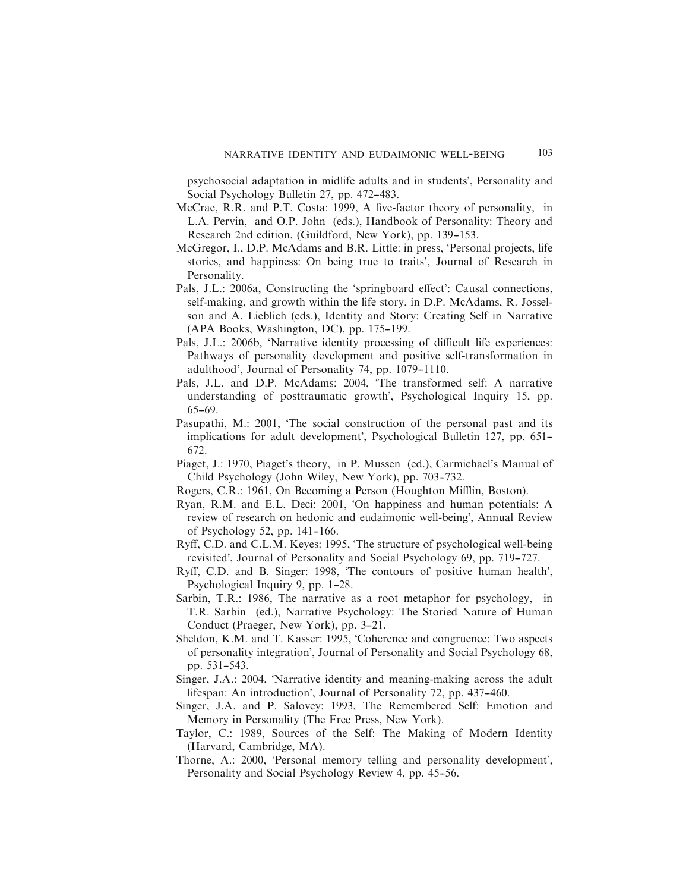psychosocial adaptation in midlife adults and in students", Personality and Social Psychology Bulletin 27, pp. 472-483.

- McCrae, R.R. and P.T. Costa: 1999, A five-factor theory of personality, in L.A. Pervin, and O.P. John (eds.), Handbook of Personality: Theory and Research 2nd edition, (Guildford, New York), pp. 139-153.
- McGregor, I., D.P. McAdams and B.R. Little: in press, 'Personal projects, life stories, and happiness: On being true to traits', Journal of Research in Personality.
- Pals, J.L.: 2006a, Constructing the 'springboard effect': Causal connections, self-making, and growth within the life story, in D.P. McAdams, R. Josselson and A. Lieblich (eds.), Identity and Story: Creating Self in Narrative (APA Books, Washington, DC), pp. 175-199.
- Pals, J.L.: 2006b, 'Narrative identity processing of difficult life experiences: Pathways of personality development and positive self-transformation in adulthood', Journal of Personality 74, pp. 1079-1110.
- Pals, J.L. and D.P. McAdams: 2004, 'The transformed self: A narrative understanding of posttraumatic growth', Psychological Inquiry 15, pp.  $65 - 69.$
- Pasupathi, M.: 2001, 'The social construction of the personal past and its implications for adult development', Psychological Bulletin 127, pp. 651– 672.
- Piaget, J.: 1970, Piaget's theory, in P. Mussen (ed.), Carmichael's Manual of Child Psychology (John Wiley, New York), pp. 703--732.
- Rogers, C.R.: 1961, On Becoming a Person (Houghton Mifflin, Boston).
- Ryan, R.M. and E.L. Deci: 2001, 'On happiness and human potentials: A review of research on hedonic and eudaimonic well-being", Annual Review of Psychology 52, pp. 141-166.
- Ryff, C.D. and C.L.M. Keyes: 1995, 'The structure of psychological well-being revisited', Journal of Personality and Social Psychology 69, pp. 719-727.
- Ryff, C.D. and B. Singer: 1998, 'The contours of positive human health', Psychological Inquiry 9, pp. 1–28.
- Sarbin, T.R.: 1986, The narrative as a root metaphor for psychology, in T.R. Sarbin (ed.), Narrative Psychology: The Storied Nature of Human Conduct (Praeger, New York), pp. 3-21.
- Sheldon, K.M. and T. Kasser: 1995, 'Coherence and congruence: Two aspects of personality integration", Journal of Personality and Social Psychology 68, pp. 531-543.
- Singer, J.A.: 2004, 'Narrative identity and meaning-making across the adult lifespan: An introduction', Journal of Personality 72, pp. 437–460.
- Singer, J.A. and P. Salovey: 1993, The Remembered Self: Emotion and Memory in Personality (The Free Press, New York).
- Taylor, C.: 1989, Sources of the Self: The Making of Modern Identity (Harvard, Cambridge, MA).
- Thorne, A.: 2000, 'Personal memory telling and personality development', Personality and Social Psychology Review 4, pp. 45-56.